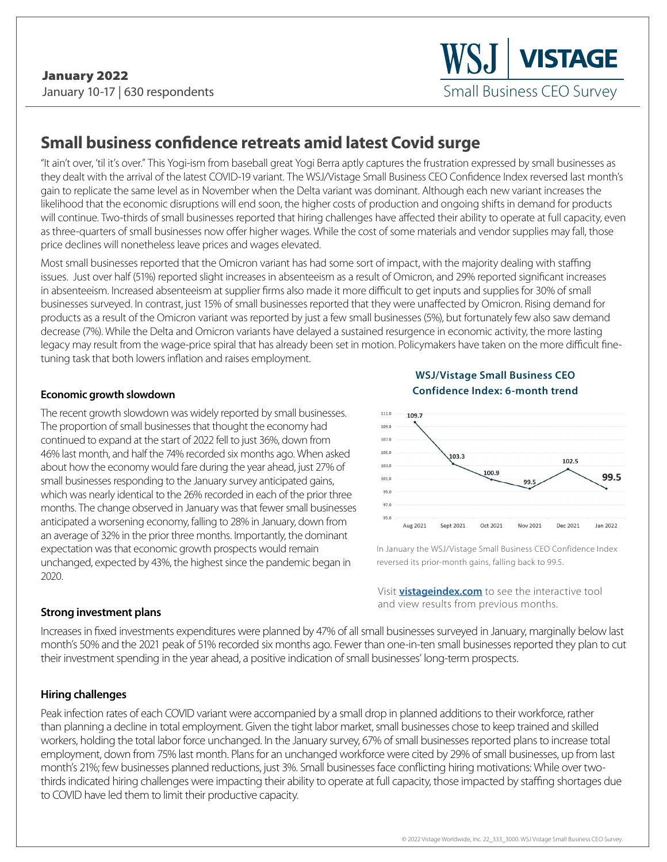# **Small business confidence retreats amid latest Covid surge**

"It ain't over, 'til it's over." This Yogi-ism from baseball great Yogi Berra aptly captures the frustration expressed by small businesses as they dealt with the arrival of the latest COVID-19 variant. The WSJ/Vistage Small Business CEO Confidence Index reversed last month's gain to replicate the same level as in November when the Delta variant was dominant. Although each new variant increases the likelihood that the economic disruptions will end soon, the higher costs of production and ongoing shifts in demand for products will continue. Two-thirds of small businesses reported that hiring challenges have affected their ability to operate at full capacity, even as three-quarters of small businesses now offer higher wages. While the cost of some materials and vendor supplies may fall, those price declines will nonetheless leave prices and wages elevated.

Most small businesses reported that the Omicron variant has had some sort of impact, with the majority dealing with staffing issues. Just over half (51%) reported slight increases in absenteeism as a result of Omicron, and 29% reported significant increases in absenteeism. Increased absenteeism at supplier firms also made it more difficult to get inputs and supplies for 30% of small businesses surveyed. In contrast, just 15% of small businesses reported that they were unaffected by Omicron. Rising demand for products as a result of the Omicron variant was reported by just a few small businesses (5%), but fortunately few also saw demand decrease (7%). While the Delta and Omicron variants have delayed a sustained resurgence in economic activity, the more lasting legacy may result from the wage-price spiral that has already been set in motion. Policymakers have taken on the more difficult finetuning task that both lowers inflation and raises employment.

## **Economic growth slowdown**

The recent growth slowdown was widely reported by small businesses. The proportion of small businesses that thought the economy had continued to expand at the start of 2022 fell to just 36%, down from 46% last month, and half the 74% recorded six months ago. When asked about how the economy would fare during the year ahead, just 27% of small businesses responding to the January survey anticipated gains, which was nearly identical to the 26% recorded in each of the prior three months. The change observed in January was that fewer small businesses anticipated a worsening economy, falling to 28% in January, down from an average of 32% in the prior three months. Importantly, the dominant expectation was that economic growth prospects would remain unchanged, expected by 43%, the highest since the pandemic began in 2020.

**WSJ/Vistage Small Business CEO Confidence Index: 6-month trend**



In January the WSJ/Vistage Small Business CEO Confidence Index reversed its prior-month gains, falling back to 99.5.

Visit **[vistageindex.com](http://www.vistageindex.com)** to see the interactive tool and view results from previous months.

#### **Strong investment plans**

Increases in fixed investments expenditures were planned by 47% of all small businesses surveyed in January, marginally below last month's 50% and the 2021 peak of 51% recorded six months ago. Fewer than one-in-ten small businesses reported they plan to cut their investment spending in the year ahead, a positive indication of small businesses' long-term prospects.

## **Hiring challenges**

Peak infection rates of each COVID variant were accompanied by a small drop in planned additions to their workforce, rather than planning a decline in total employment. Given the tight labor market, small businesses chose to keep trained and skilled workers, holding the total labor force unchanged. In the January survey, 67% of small businesses reported plans to increase total employment, down from 75% last month. Plans for an unchanged workforce were cited by 29% of small businesses, up from last month's 21%; few businesses planned reductions, just 3%. Small businesses face conflicting hiring motivations: While over twothirds indicated hiring challenges were impacting their ability to operate at full capacity, those impacted by staffing shortages due to COVID have led them to limit their productive capacity.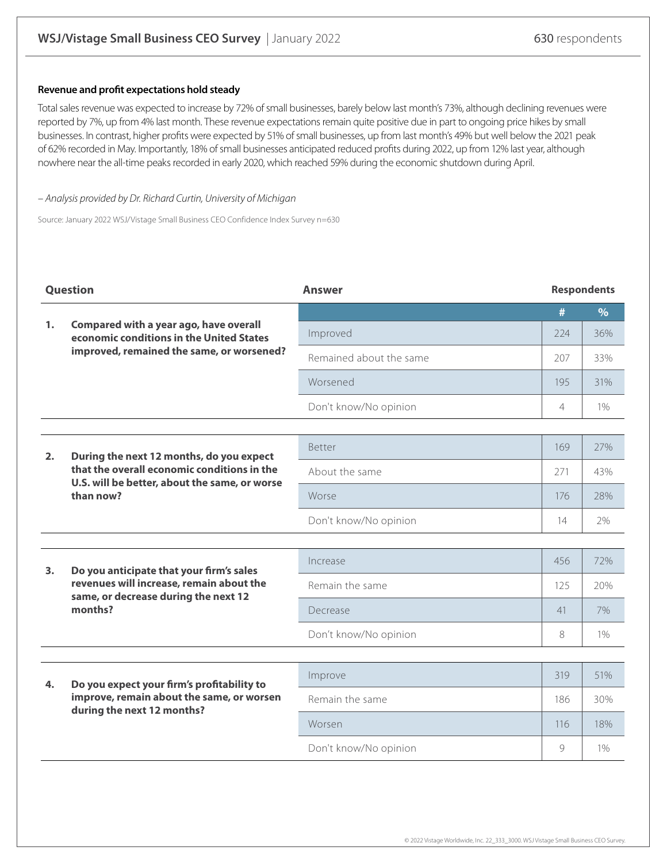#### **Revenue and profit expectations hold steady**

Total sales revenue was expected to increase by 72% of small businesses, barely below last month's 73%, although declining revenues were reported by 7%, up from 4% last month. These revenue expectations remain quite positive due in part to ongoing price hikes by small businesses. In contrast, higher profits were expected by 51% of small businesses, up from last month's 49% but well below the 2021 peak of 62% recorded in May. Importantly, 18% of small businesses anticipated reduced profits during 2022, up from 12% last year, although nowhere near the all-time peaks recorded in early 2020, which reached 59% during the economic shutdown during April.

#### – Analysis provided by Dr. Richard Curtin, University of Michigan

Source: January 2022 WSJ/Vistage Small Business CEO Confidence Index Survey n=630

| <b>Question</b> |                                                                                                                                                       | <b>Answer</b>           | <b>Respondents</b> |               |
|-----------------|-------------------------------------------------------------------------------------------------------------------------------------------------------|-------------------------|--------------------|---------------|
|                 |                                                                                                                                                       |                         | #                  | $\frac{9}{6}$ |
| 1.              | Compared with a year ago, have overall<br>economic conditions in the United States<br>improved, remained the same, or worsened?                       | Improved                | 224                | 36%           |
|                 |                                                                                                                                                       | Remained about the same | 207                | 33%           |
|                 |                                                                                                                                                       | Worsened                | 195                | 31%           |
|                 |                                                                                                                                                       | Don't know/No opinion   | $\overline{4}$     | 1%            |
|                 |                                                                                                                                                       |                         |                    |               |
| 2.              | During the next 12 months, do you expect<br>that the overall economic conditions in the<br>U.S. will be better, about the same, or worse<br>than now? | <b>Better</b>           | 169                | 27%           |
|                 |                                                                                                                                                       | About the same          | 271                | 43%           |
|                 |                                                                                                                                                       | Worse                   | 176                | 28%           |
|                 |                                                                                                                                                       | Don't know/No opinion   | 14                 | 2%            |
|                 |                                                                                                                                                       |                         |                    |               |
| 3.              | Do you anticipate that your firm's sales<br>revenues will increase, remain about the<br>same, or decrease during the next 12<br>months?               | Increase                | 456                | 72%           |
|                 |                                                                                                                                                       | Remain the same         | 125                | 20%           |
|                 |                                                                                                                                                       | Decrease                | 41                 | 7%            |
|                 |                                                                                                                                                       | Don't know/No opinion   | 8                  | $1\%$         |
|                 |                                                                                                                                                       |                         |                    |               |
| 4.              | Do you expect your firm's profitability to<br>improve, remain about the same, or worsen<br>during the next 12 months?                                 | Improve                 | 319                | 51%           |
|                 |                                                                                                                                                       | Remain the same         | 186                | 30%           |
|                 |                                                                                                                                                       | Worsen                  | 116                | 18%           |
|                 |                                                                                                                                                       | Don't know/No opinion   | 9                  | $1\%$         |
|                 |                                                                                                                                                       |                         |                    |               |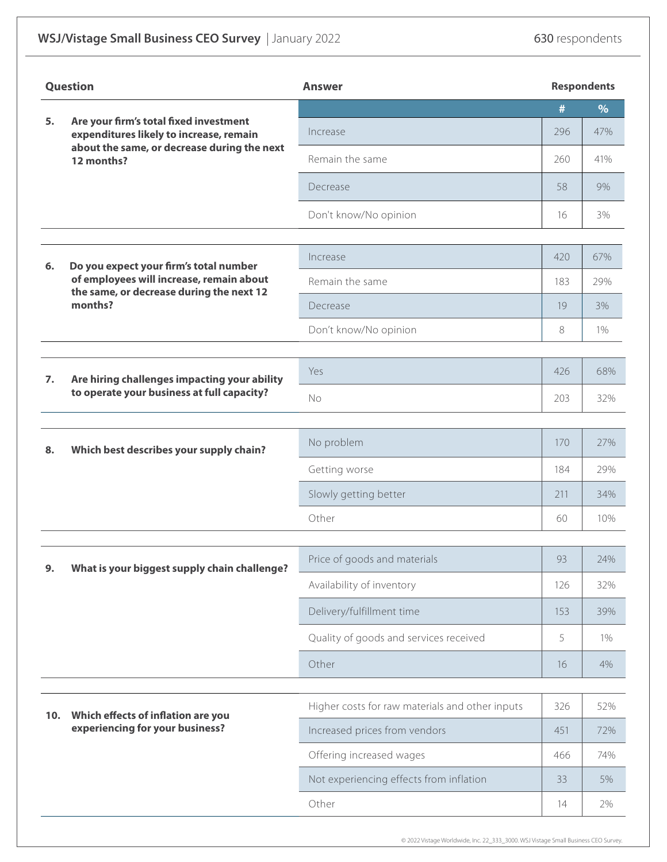|     | <b>Question</b>                                                                                                                | <b>Answer</b>                                   |     | <b>Respondents</b> |
|-----|--------------------------------------------------------------------------------------------------------------------------------|-------------------------------------------------|-----|--------------------|
| 5.  | Are your firm's total fixed investment                                                                                         |                                                 | #   | $\%$               |
|     | expenditures likely to increase, remain<br>about the same, or decrease during the next<br>12 months?                           | Increase                                        | 296 | 47%                |
|     |                                                                                                                                | Remain the same                                 | 260 | 41%                |
|     |                                                                                                                                | Decrease                                        | 58  | 9%                 |
|     |                                                                                                                                | Don't know/No opinion                           | 16  | 3%                 |
|     |                                                                                                                                |                                                 |     |                    |
| 6.  | Do you expect your firm's total number<br>of employees will increase, remain about<br>the same, or decrease during the next 12 | Increase                                        | 420 | 67%                |
|     |                                                                                                                                | Remain the same                                 | 183 | 29%                |
|     | months?                                                                                                                        | Decrease                                        | 19  | 3%                 |
|     |                                                                                                                                | Don't know/No opinion                           | 8   | 1%                 |
|     | Are hiring challenges impacting your ability<br>to operate your business at full capacity?                                     | Yes                                             | 426 | 68%                |
| 7.  |                                                                                                                                | No                                              | 203 | 32%                |
|     |                                                                                                                                |                                                 |     |                    |
| 8.  | Which best describes your supply chain?                                                                                        | No problem                                      | 170 | 27%                |
|     |                                                                                                                                | Getting worse                                   | 184 | 29%                |
|     |                                                                                                                                | Slowly getting better                           | 211 | 34%                |
|     |                                                                                                                                | Other                                           | 60  | 10%                |
|     | What is your biggest supply chain challenge?                                                                                   | Price of goods and materials                    | 93  | 24%                |
| 9.  |                                                                                                                                | Availability of inventory                       | 126 | 32%                |
|     |                                                                                                                                | Delivery/fulfillment time                       | 153 | 39%                |
|     |                                                                                                                                | Quality of goods and services received          | 5   | 1%                 |
|     |                                                                                                                                | Other                                           | 16  | 4%                 |
|     |                                                                                                                                |                                                 |     |                    |
| 10. | Which effects of inflation are you                                                                                             | Higher costs for raw materials and other inputs | 326 | 52%                |
|     | experiencing for your business?                                                                                                | Increased prices from vendors                   | 451 | 72%                |
|     |                                                                                                                                | Offering increased wages                        | 466 | 74%                |
|     |                                                                                                                                | Not experiencing effects from inflation         | 33  | 5%                 |
|     |                                                                                                                                | Other                                           | 14  | 2%                 |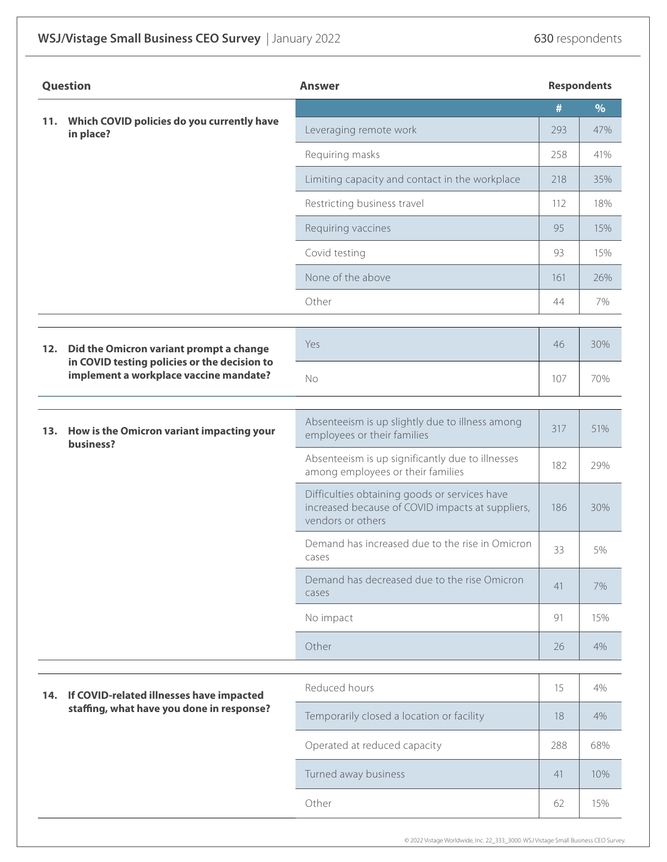|     | <b>Question</b>                                                                                                                   | <b>Answer</b>                                                                                                          |      | <b>Respondents</b> |
|-----|-----------------------------------------------------------------------------------------------------------------------------------|------------------------------------------------------------------------------------------------------------------------|------|--------------------|
| 11. |                                                                                                                                   |                                                                                                                        | $\#$ | $\%$               |
|     | Which COVID policies do you currently have<br>in place?                                                                           | Leveraging remote work                                                                                                 | 293  | 47%                |
|     |                                                                                                                                   | Requiring masks                                                                                                        | 258  | 41%                |
|     |                                                                                                                                   | Limiting capacity and contact in the workplace                                                                         | 218  | 35%                |
|     |                                                                                                                                   | Restricting business travel                                                                                            | 112  | 18%                |
|     |                                                                                                                                   | Requiring vaccines                                                                                                     | 95   | 15%                |
|     |                                                                                                                                   | Covid testing                                                                                                          | 93   | 15%                |
|     |                                                                                                                                   | None of the above                                                                                                      | 161  | 26%                |
|     |                                                                                                                                   | Other                                                                                                                  | 44   | 7%                 |
| 12. | Did the Omicron variant prompt a change<br>in COVID testing policies or the decision to<br>implement a workplace vaccine mandate? | Yes                                                                                                                    | 46   | 30%                |
|     |                                                                                                                                   | <b>No</b>                                                                                                              | 107  | 70%                |
|     | 13. How is the Omicron variant impacting your<br>business?                                                                        | Absenteeism is up slightly due to illness among<br>employees or their families                                         | 317  | 51%                |
|     |                                                                                                                                   | Absenteeism is up significantly due to illnesses<br>among employees or their families                                  | 182  | 29%                |
|     |                                                                                                                                   | Difficulties obtaining goods or services have<br>increased because of COVID impacts at suppliers,<br>vendors or others | 186  | 30%                |
|     |                                                                                                                                   | Demand has increased due to the rise in Omicron<br>cases                                                               | 33   | 5%                 |
|     |                                                                                                                                   | Demand has decreased due to the rise Omicron<br>cases                                                                  | 41   | 7%                 |
|     |                                                                                                                                   | No impact                                                                                                              | 91   | 15%                |
|     |                                                                                                                                   | Other                                                                                                                  | 26   | 4%                 |
| 14. | If COVID-related illnesses have impacted<br>staffing, what have you done in response?                                             | Reduced hours                                                                                                          | 15   | 4%                 |
|     |                                                                                                                                   | Temporarily closed a location or facility                                                                              | 18   | 4%                 |
|     |                                                                                                                                   | Operated at reduced capacity                                                                                           | 288  | 68%                |
|     |                                                                                                                                   | Turned away business                                                                                                   | 41   | 10%                |
|     |                                                                                                                                   | Other                                                                                                                  | 62   | 15%                |